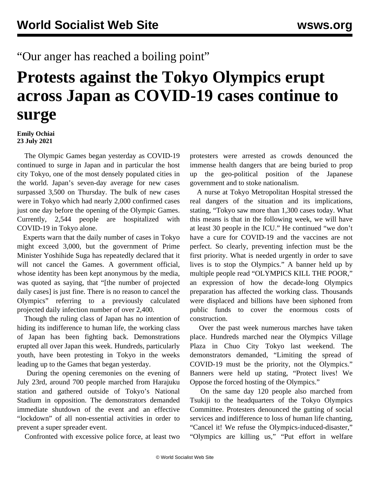## "Our anger has reached a boiling point"

## **Protests against the Tokyo Olympics erupt across Japan as COVID-19 cases continue to surge**

**Emily Ochiai 23 July 2021**

 The Olympic Games began yesterday as COVID-19 continued to surge in Japan and in particular the host city Tokyo, one of the most densely populated cities in the world. Japan's seven-day average for new cases surpassed 3,500 on Thursday. The bulk of new cases were in Tokyo which had nearly 2,000 confirmed cases just one day before the opening of the Olympic Games. Currently, 2,544 people are hospitalized with COVID-19 in Tokyo alone.

 Experts warn that the daily number of cases in Tokyo might exceed 3,000, but the government of Prime Minister Yoshihide Suga has repeatedly declared that it will not cancel the Games. A government official, whose identity has been kept anonymous by the media, was quoted as saying, that "[the number of projected daily cases] is just fine. There is no reason to cancel the Olympics" referring to a previously calculated projected daily infection number of over 2,400.

 Though the ruling class of Japan has no intention of hiding its indifference to human life, the working class of Japan has been fighting back. Demonstrations erupted all over Japan this week. Hundreds, particularly youth, have been protesting in Tokyo in the weeks leading up to the Games that began yesterday.

 During the opening ceremonies on the evening of July 23rd, around 700 people marched from Harajuku station and gathered outside of Tokyo's National Stadium in opposition. The demonstrators demanded immediate shutdown of the event and an effective "lockdown" of all non-essential activities in order to prevent a super spreader event.

Confronted with excessive police force, at least two

protesters were arrested as crowds denounced the immense health dangers that are being buried to prop up the geo-political position of the Japanese government and to stoke nationalism.

 A nurse at Tokyo Metropolitan Hospital stressed the real dangers of the situation and its implications, stating, "Tokyo saw more than 1,300 cases today. What this means is that in the following week, we will have at least 30 people in the ICU." He continued "we don't have a cure for COVID-19 and the vaccines are not perfect. So clearly, preventing infection must be the first priority. What is needed urgently in order to save lives is to stop the Olympics." A banner held up by multiple people read "OLYMPICS KILL THE POOR," an expression of how the decade-long Olympics preparation has affected the working class. Thousands were displaced and billions have been siphoned from public funds to cover the enormous costs of construction.

 Over the past week numerous marches have taken place. Hundreds marched near the Olympics Village Plaza in Chuo City Tokyo last weekend. The demonstrators demanded, "Limiting the spread of COVID-19 must be the priority, not the Olympics." Banners were held up stating, "Protect lives! We Oppose the forced hosting of the Olympics."

 On the same day 120 people also marched from Tsukiji to the headquarters of the Tokyo Olympics Committee. Protesters denounced the gutting of social services and indifference to loss of human life chanting, "Cancel it! We refuse the Olympics-induced-disaster," "Olympics are killing us," "Put effort in welfare